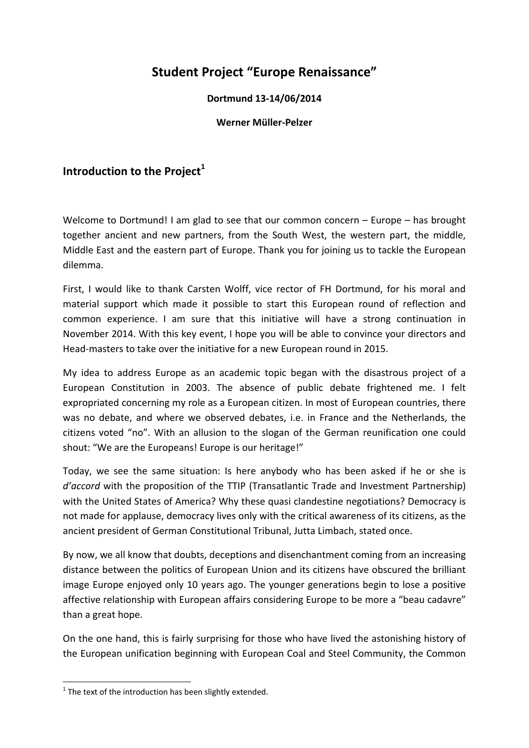## **Student Project "Europe Renaissance"**

## **Dortmund 13‐14/06/2014**

## **Werner Müller‐Pelzer**

## **Introduction to the Project<sup>1</sup>**

Welcome to Dortmund! I am glad to see that our common concern – Europe – has brought together ancient and new partners, from the South West, the western part, the middle, Middle East and the eastern part of Europe. Thank you for joining us to tackle the European dilemma.

First, I would like to thank Carsten Wolff, vice rector of FH Dortmund, for his moral and material support which made it possible to start this European round of reflection and common experience. I am sure that this initiative will have a strong continuation in November 2014. With this key event, I hope you will be able to convince your directors and Head‐masters to take over the initiative for a new European round in 2015.

My idea to address Europe as an academic topic began with the disastrous project of a European Constitution in 2003. The absence of public debate frightened me. I felt expropriated concerning my role as a European citizen. In most of European countries, there was no debate, and where we observed debates, i.e. in France and the Netherlands, the citizens voted "no". With an allusion to the slogan of the German reunification one could shout: "We are the Europeans! Europe is our heritage!"

Today, we see the same situation: Is here anybody who has been asked if he or she is *d'accord* with the proposition of the TTIP (Transatlantic Trade and Investment Partnership) with the United States of America? Why these quasi clandestine negotiations? Democracy is not made for applause, democracy lives only with the critical awareness of its citizens, as the ancient president of German Constitutional Tribunal, Jutta Limbach, stated once.

By now, we all know that doubts, deceptions and disenchantment coming from an increasing distance between the politics of European Union and its citizens have obscured the brilliant image Europe enjoyed only 10 years ago. The younger generations begin to lose a positive affective relationship with European affairs considering Europe to be more a "beau cadavre" than a great hope.

On the one hand, this is fairly surprising for those who have lived the astonishing history of the European unification beginning with European Coal and Steel Community, the Common

 $1$  The text of the introduction has been slightly extended.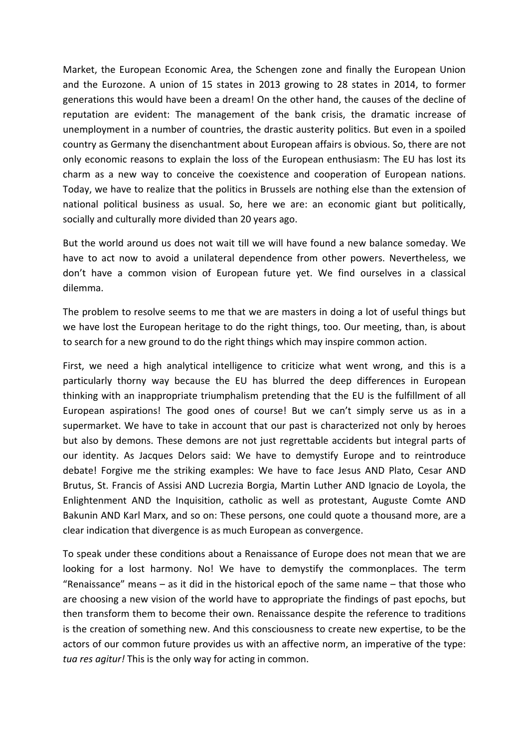Market, the European Economic Area, the Schengen zone and finally the European Union and the Eurozone. A union of 15 states in 2013 growing to 28 states in 2014, to former generations this would have been a dream! On the other hand, the causes of the decline of reputation are evident: The management of the bank crisis, the dramatic increase of unemployment in a number of countries, the drastic austerity politics. But even in a spoiled country as Germany the disenchantment about European affairs is obvious. So, there are not only economic reasons to explain the loss of the European enthusiasm: The EU has lost its charm as a new way to conceive the coexistence and cooperation of European nations. Today, we have to realize that the politics in Brussels are nothing else than the extension of national political business as usual. So, here we are: an economic giant but politically, socially and culturally more divided than 20 years ago.

But the world around us does not wait till we will have found a new balance someday. We have to act now to avoid a unilateral dependence from other powers. Nevertheless, we don't have a common vision of European future yet. We find ourselves in a classical dilemma.

The problem to resolve seems to me that we are masters in doing a lot of useful things but we have lost the European heritage to do the right things, too. Our meeting, than, is about to search for a new ground to do the right things which may inspire common action.

First, we need a high analytical intelligence to criticize what went wrong, and this is a particularly thorny way because the EU has blurred the deep differences in European thinking with an inappropriate triumphalism pretending that the EU is the fulfillment of all European aspirations! The good ones of course! But we can't simply serve us as in a supermarket. We have to take in account that our past is characterized not only by heroes but also by demons. These demons are not just regrettable accidents but integral parts of our identity. As Jacques Delors said: We have to demystify Europe and to reintroduce debate! Forgive me the striking examples: We have to face Jesus AND Plato, Cesar AND Brutus, St. Francis of Assisi AND Lucrezia Borgia, Martin Luther AND Ignacio de Loyola, the Enlightenment AND the Inquisition, catholic as well as protestant, Auguste Comte AND Bakunin AND Karl Marx, and so on: These persons, one could quote a thousand more, are a clear indication that divergence is as much European as convergence.

To speak under these conditions about a Renaissance of Europe does not mean that we are looking for a lost harmony. No! We have to demystify the commonplaces. The term "Renaissance" means – as it did in the historical epoch of the same name – that those who are choosing a new vision of the world have to appropriate the findings of past epochs, but then transform them to become their own. Renaissance despite the reference to traditions is the creation of something new. And this consciousness to create new expertise, to be the actors of our common future provides us with an affective norm, an imperative of the type: *tua res agitur!* This is the only way for acting in common.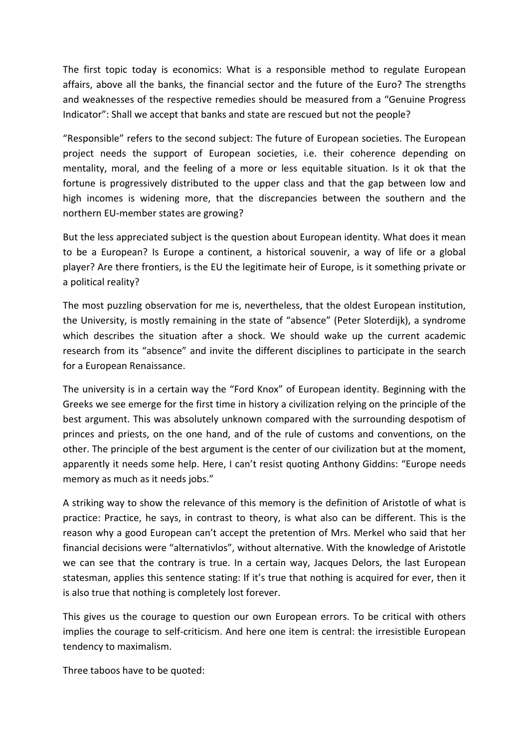The first topic today is economics: What is a responsible method to regulate European affairs, above all the banks, the financial sector and the future of the Euro? The strengths and weaknesses of the respective remedies should be measured from a "Genuine Progress Indicator": Shall we accept that banks and state are rescued but not the people?

"Responsible" refers to the second subject: The future of European societies. The European project needs the support of European societies, i.e. their coherence depending on mentality, moral, and the feeling of a more or less equitable situation. Is it ok that the fortune is progressively distributed to the upper class and that the gap between low and high incomes is widening more, that the discrepancies between the southern and the northern EU‐member states are growing?

But the less appreciated subject is the question about European identity. What does it mean to be a European? Is Europe a continent, a historical souvenir, a way of life or a global player? Are there frontiers, is the EU the legitimate heir of Europe, is it something private or a political reality?

The most puzzling observation for me is, nevertheless, that the oldest European institution, the University, is mostly remaining in the state of "absence" (Peter Sloterdijk), a syndrome which describes the situation after a shock. We should wake up the current academic research from its "absence" and invite the different disciplines to participate in the search for a European Renaissance.

The university is in a certain way the "Ford Knox" of European identity. Beginning with the Greeks we see emerge for the first time in history a civilization relying on the principle of the best argument. This was absolutely unknown compared with the surrounding despotism of princes and priests, on the one hand, and of the rule of customs and conventions, on the other. The principle of the best argument is the center of our civilization but at the moment, apparently it needs some help. Here, I can't resist quoting Anthony Giddins: "Europe needs memory as much as it needs jobs."

A striking way to show the relevance of this memory is the definition of Aristotle of what is practice: Practice, he says, in contrast to theory, is what also can be different. This is the reason why a good European can't accept the pretention of Mrs. Merkel who said that her financial decisions were "alternativlos", without alternative. With the knowledge of Aristotle we can see that the contrary is true. In a certain way, Jacques Delors, the last European statesman, applies this sentence stating: If it's true that nothing is acquired for ever, then it is also true that nothing is completely lost forever.

This gives us the courage to question our own European errors. To be critical with others implies the courage to self-criticism. And here one item is central: the irresistible European tendency to maximalism.

Three taboos have to be quoted: